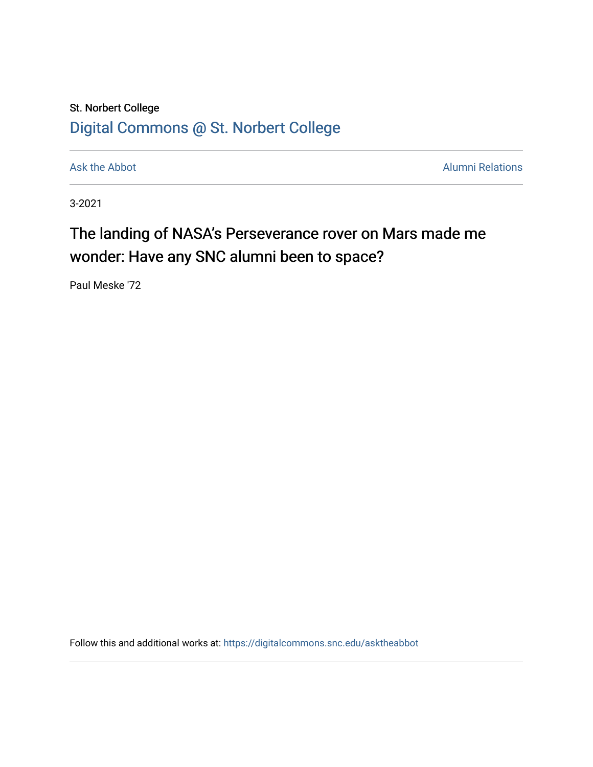## St. Norbert College [Digital Commons @ St. Norbert College](https://digitalcommons.snc.edu/)

[Ask the Abbot](https://digitalcommons.snc.edu/asktheabbot) **Alumni Relations** Ask the Abbot **Alumni Relations** 

3-2021

## The landing of NASA's Perseverance rover on Mars made me wonder: Have any SNC alumni been to space?

Paul Meske '72

Follow this and additional works at: [https://digitalcommons.snc.edu/asktheabbot](https://digitalcommons.snc.edu/asktheabbot?utm_source=digitalcommons.snc.edu%2Fasktheabbot%2F175&utm_medium=PDF&utm_campaign=PDFCoverPages)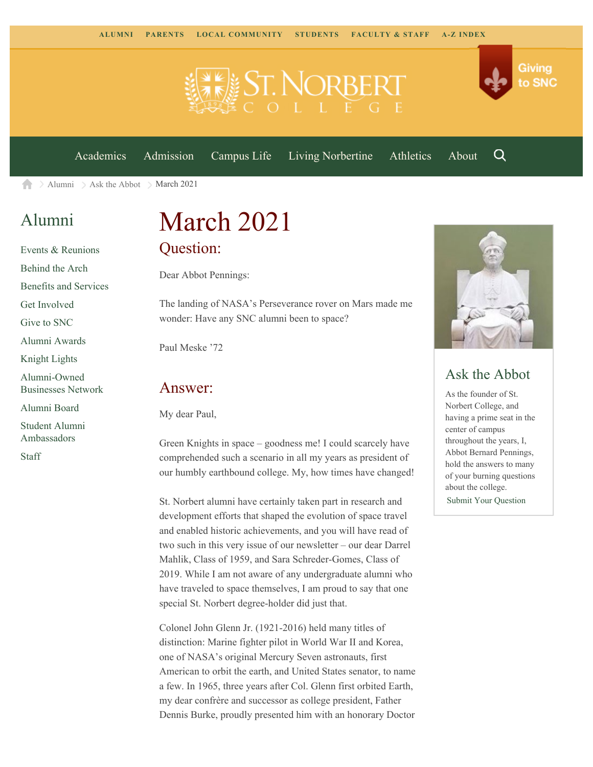



[Academics](https://www.snc.edu/academics) [Admission](https://www.snc.edu/admission) [Campus Life](https://www.snc.edu/campuslife) [Living Norbertine](https://www.snc.edu/livingnorbertine) [Athletics](https://www.snc.edu/athletics) [About](https://www.snc.edu/about)

Q

Giving

to SNC

 $\geq$  [Alumni](https://www.snc.edu/alumni/)  $\geq$  [Ask the Abbot](https://www.snc.edu/alumni/abbot/)  $\geq$  March 2021 合

### [Alumni](https://www.snc.edu/alumni/index.html)

[Events & Reunions](https://www.snc.edu/alumni/event/index.html) [Behind the Arch](https://www.snc.edu/alumni/event/behindthearch/) [Benefits and Services](https://www.snc.edu/alumni/benefits.html) [Get Involved](https://www.snc.edu/alumni/getinvolved.html) [Give to SNC](http://giving.snc.edu/) [Alumni Awards](https://www.snc.edu/alumni/awards/index.html) [Knight Lights](https://www.snc.edu/alumni/knightlights/index.html) [Alumni-Owned](https://www.snc.edu/alumni/directory/index.html) [Businesses Network](https://www.snc.edu/alumni/directory/index.html) [Alumni Board](https://www.snc.edu/alumni/alumniboard.html) [Student Alumni](https://www.snc.edu/alumni/saa.html) [Ambassadors](https://www.snc.edu/alumni/saa.html) [Staff](https://www.snc.edu/alumni/contactus.html)

# March 2021 Question:

Dear Abbot Pennings:

The landing of NASA's Perseverance rover on Mars made me wonder: Have any SNC alumni been to space?

Paul Meske '72

#### Answer:

My dear Paul,

Green Knights in space – goodness me! I could scarcely have comprehended such a scenario in all my years as president of our humbly earthbound college. My, how times have changed!

St. Norbert alumni have certainly taken part in research and development efforts that shaped the evolution of space travel and enabled historic achievements, and you will have read of two such in this very issue of our newsletter – our dear Darrel Mahlik, Class of 1959, and Sara Schreder-Gomes, Class of 2019. While I am not aware of any undergraduate alumni who have traveled to space themselves, I am proud to say that one special St. Norbert degree-holder did just that.

Colonel John Glenn Jr. (1921-2016) held many titles of distinction: Marine fighter pilot in World War II and Korea, one of NASA's original Mercury Seven astronauts, first American to orbit the earth, and United States senator, to name a few. In 1965, three years after Col. Glenn first orbited Earth, my dear confrère and successor as college president, Father Dennis Burke, proudly presented him with an honorary Doctor



#### Ask the Abbot

As the founder of St. Norbert College, and having a prime seat in the center of campus throughout the years, I, Abbot Bernard Pennings, hold the answers to many of your burning questions about the college. [Submit Your Question](https://www.snc.edu/alumni/abbot/index.html)